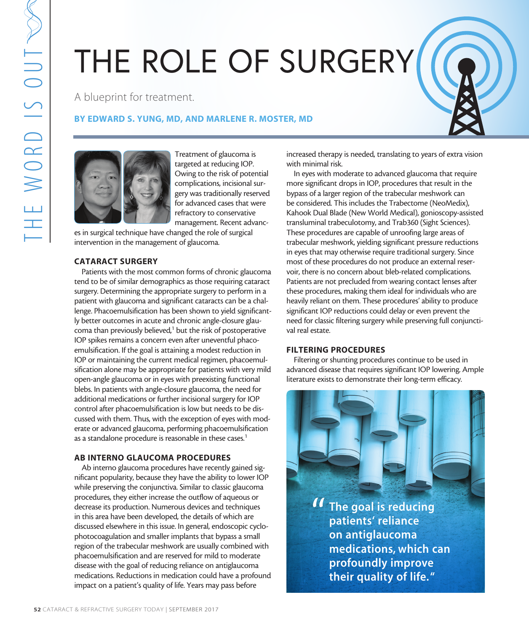# THE ROLE OF SURGERY

A blueprint for treatment.

# BY EDWARD S. YUNG, MD, AND MARLENE R. MOSTER, MD



Treatment of glaucoma is targeted at reducing IOP. Owing to the risk of potential complications, incisional surgery was traditionally reserved for advanced cases that were refractory to conservative management. Recent advanc-

es in surgical technique have changed the role of surgical intervention in the management of glaucoma.

## CATARACT SURGERY

Patients with the most common forms of chronic glaucoma tend to be of similar demographics as those requiring cataract surgery. Determining the appropriate surgery to perform in a patient with glaucoma and significant cataracts can be a challenge. Phacoemulsification has been shown to yield significantly better outcomes in acute and chronic angle-closure glaucoma than previously believed,<sup>1</sup> but the risk of postoperative IOP spikes remains a concern even after uneventful phacoemulsification. If the goal is attaining a modest reduction in IOP or maintaining the current medical regimen, phacoemulsification alone may be appropriate for patients with very mild open-angle glaucoma or in eyes with preexisting functional blebs. In patients with angle-closure glaucoma, the need for additional medications or further incisional surgery for IOP control after phacoemulsification is low but needs to be discussed with them. Thus, with the exception of eyes with moderate or advanced glaucoma, performing phacoemulsification as a standalone procedure is reasonable in these cases.<sup>1</sup>

# AB INTERNO GLAUCOMA PROCEDURES

Ab interno glaucoma procedures have recently gained significant popularity, because they have the ability to lower IOP while preserving the conjunctiva. Similar to classic glaucoma procedures, they either increase the outflow of aqueous or decrease its production. Numerous devices and techniques in this area have been developed, the details of which are discussed elsewhere in this issue. In general, endoscopic cyclophotocoagulation and smaller implants that bypass a small region of the trabecular meshwork are usually combined with phacoemulsification and are reserved for mild to moderate disease with the goal of reducing reliance on antiglaucoma medications. Reductions in medication could have a profound impact on a patient's quality of life. Years may pass before

increased therapy is needed, translating to years of extra vision with minimal risk.

In eyes with moderate to advanced glaucoma that require more significant drops in IOP, procedures that result in the bypass of a larger region of the trabecular meshwork can be considered. This includes the Trabectome (NeoMedix), Kahook Dual Blade (New World Medical), gonioscopy-assisted transluminal trabeculotomy, and Trab360 (Sight Sciences). These procedures are capable of unroofing large areas of trabecular meshwork, yielding significant pressure reductions in eyes that may otherwise require traditional surgery. Since most of these procedures do not produce an external reservoir, there is no concern about bleb-related complications. Patients are not precluded from wearing contact lenses after these procedures, making them ideal for individuals who are heavily reliant on them. These procedures' ability to produce significant IOP reductions could delay or even prevent the need for classic filtering surgery while preserving full conjunctival real estate.

# FILTERING PROCEDURES

Filtering or shunting procedures continue to be used in advanced disease that requires significant IOP lowering. Ample literature exists to demonstrate their long-term efficacy.

> The goal is reducing patients' reliance on antiglaucoma medications, which can profoundly improve their quality of life. " "